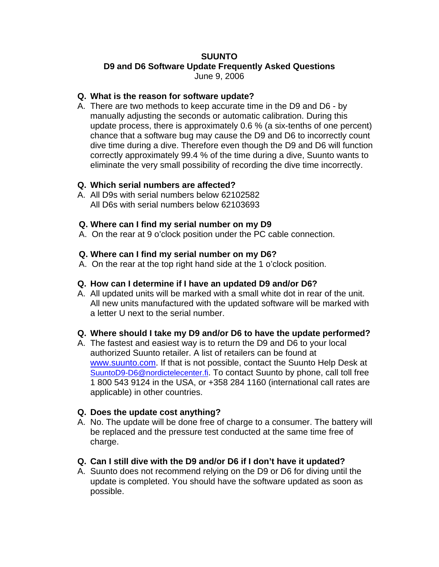## **SUUNTO**

## **D9 and D6 Software Update Frequently Asked Questions**

June 9, 2006

### **Q. What is the reason for software update?**

A. There are two methods to keep accurate time in the D9 and D6 - by manually adjusting the seconds or automatic calibration. During this update process, there is approximately 0.6 % (a six-tenths of one percent) chance that a software bug may cause the D9 and D6 to incorrectly count dive time during a dive. Therefore even though the D9 and D6 will function correctly approximately 99.4 % of the time during a dive, Suunto wants to eliminate the very small possibility of recording the dive time incorrectly.

## **Q. Which serial numbers are affected?**

A. All D9s with serial numbers below 62102582 All D6s with serial numbers below 62103693

## **Q. Where can I find my serial number on my D9**

A. On the rear at 9 o'clock position under the PC cable connection.

## **Q. Where can I find my serial number on my D6?**

A. On the rear at the top right hand side at the 1 o'clock position.

## **Q. How can I determine if I have an updated D9 and/or D6?**

A. All updated units will be marked with a small white dot in rear of the unit. All new units manufactured with the updated software will be marked with a letter U next to the serial number.

### **Q. Where should I take my D9 and/or D6 to have the update performed?**

A. The fastest and easiest way is to return the D9 and D6 to your local authorized Suunto retailer. A list of retailers can be found at [www.suunto.com](http://www.suunto.com/). If that is not possible, contact the Suunto Help Desk at [SuuntoD9-D6@nordictelecenter.fi.](mailto:SuuntoD9-D6@nordictelecenter.fi) To contact Suunto by phone, call toll free 1 800 543 9124 in the USA, or +358 284 1160 (international call rates are applicable) in other countries.

# **Q. Does the update cost anything?**

- A. No. The update will be done free of charge to a consumer. The battery will be replaced and the pressure test conducted at the same time free of charge.
- **Q. Can I still dive with the D9 and/or D6 if I don't have it updated?**
- A. Suunto does not recommend relying on the D9 or D6 for diving until the update is completed. You should have the software updated as soon as possible.